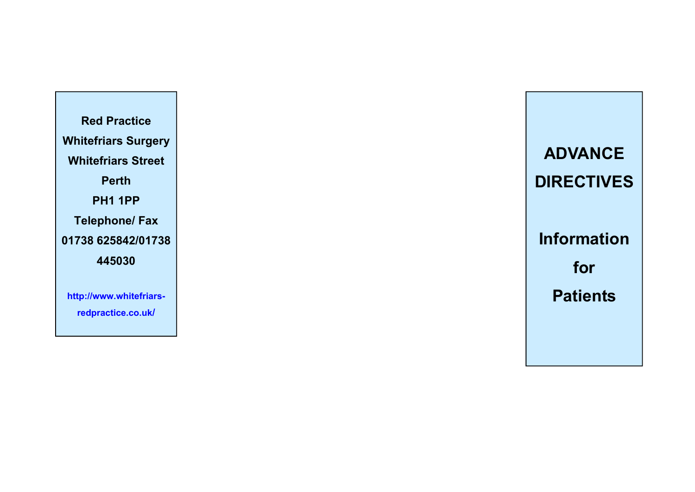**Red Practice Whitefriars Surgery Whitefriars Street Perth PH1 1PP Telephone/ Fax 01738 625842/01738 445030** 

**http://www.whitefriarsredpractice.co.uk/**

**ADVANCE DIRECTIVES Information for Patients**